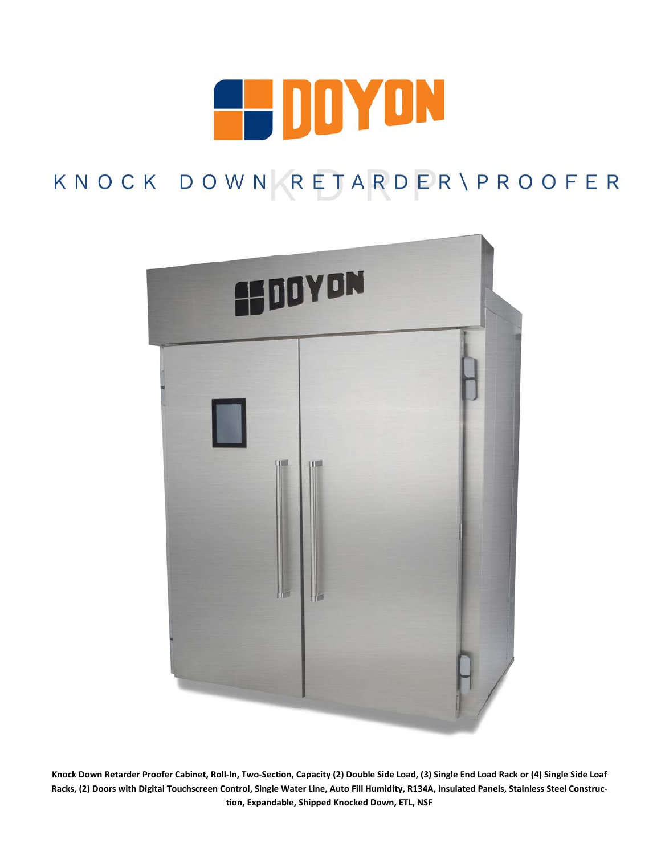

# KNOCK DOWN RETARDER\PROOFER



Knock Down Retarder Proofer Cabinet, Roll-In, Two-Section, Capacity (2) Double Side Load, (3) Single End Load Rack or (4) Single Side Loaf **Racks, (2) Doors with Digital Touchscreen Control, Single Water Line, Auto Fill Humidity, R134A, Insulated Panels, Stainless Steel Construc‐ Ɵon, Expandable, Shipped Knocked Down, ETL, NSF**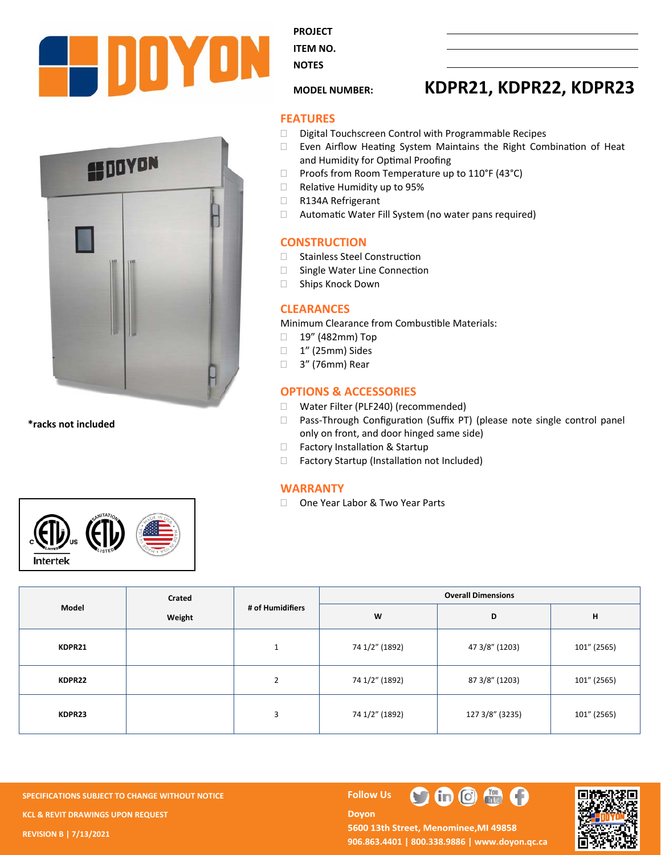



**\*racks not included** 



**PROJECT** 

**ITEM NO. NOTES** 

## **MODEL NUMBER: KDPR21, KDPR22, KDPR23**

#### **FEATURES**

- Digital Touchscreen Control with Programmable Recipes
- $\Box$  Even Airflow Heating System Maintains the Right Combination of Heat and Humidity for Optimal Proofing
- $\Box$  Proofs from Room Temperature up to 110°F (43°C)
- $\Box$  Relative Humidity up to 95%
- R134A Refrigerant
- $\Box$  Automatic Water Fill System (no water pans required)

#### **CONSTRUCTION**

- □ Stainless Steel Construction
- $\Box$  Single Water Line Connection
- □ Ships Knock Down

#### **CLEARANCES**

Minimum Clearance from Combustible Materials:

- □ 19" (482mm) Top
- □ 1" (25mm) Sides
- □ 3" (76mm) Rear

### **OPTIONS & ACCESSORIES**

- □ Water Filter (PLF240) (recommended)
- □ Pass-Through Configuration (Suffix PT) (please note single control panel only on front, and door hinged same side)
- □ Factory Installation & Startup
- $\Box$  Factory Startup (Installation not Included)

#### **WARRANTY**

□ One Year Labor & Two Year Parts

| Model  | Crated<br>Weight | # of Humidifiers | <b>Overall Dimensions</b> |                 |             |  |
|--------|------------------|------------------|---------------------------|-----------------|-------------|--|
|        |                  |                  | W                         | D               | н           |  |
| KDPR21 |                  | 1                | 74 1/2" (1892)            | 47 3/8" (1203)  | 101" (2565) |  |
| KDPR22 |                  | $\overline{2}$   | 74 1/2" (1892)            | 87 3/8" (1203)  | 101" (2565) |  |
| KDPR23 |                  | 3                | 74 1/2" (1892)            | 127 3/8" (3235) | 101" (2565) |  |

**SPECIFICATIONS SUBJECT TO CHANGE WITHOUT NOTICE FOLLOWING THE RESISTING STATE FOLLOWING KCL & REVIT DRAWINGS UPON REQUEST REVISION B | 7/13/2021** 

**Doyon** 



5600 13th Street, Menominee, MI 49858 **906.863.4401 | 800.338.9886 | www.doyon.qc.ca** 

th **G** the